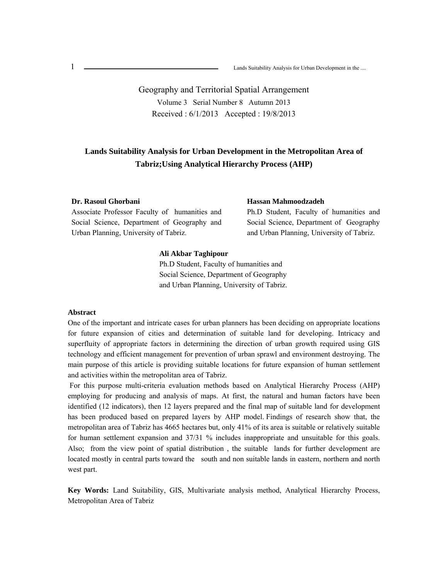$\overline{1}$ 1 **Lands Suitability Analysis for Urban Development in the ....** Lands Suitability Analysis for Urban Development in the ....

> Geography and Territorial Spatial Arrangement Volume 3 Serial Number 8 Autumn 2013 Received : 6/1/2013 Accepted : 19/8/2013

# **Lands Suitability Analysis for Urban Development in the Metropolitan Area of Tabriz;Using Analytical Hierarchy Process (AHP)**

#### **Dr. Rasoul Ghorbani**

Associate Professor Faculty of humanities and Social Science, Department of Geography and Urban Planning, University of Tabriz.

#### **Hassan Mahmoodzadeh**

Ph.D Student, Faculty of humanities and Social Science, Department of Geography and Urban Planning, University of Tabriz.

## **Ali Akbar Taghipour**

Ph.D Student, Faculty of humanities and Social Science, Department of Geography and Urban Planning, University of Tabriz.

### **Abstract**

One of the important and intricate cases for urban planners has been deciding on appropriate locations for future expansion of cities and determination of suitable land for developing. Intricacy and superfluity of appropriate factors in determining the direction of urban growth required using GIS technology and efficient management for prevention of urban sprawl and environment destroying. The main purpose of this article is providing suitable locations for future expansion of human settlement and activities within the metropolitan area of Tabriz.

 For this purpose multi-criteria evaluation methods based on Analytical Hierarchy Process (AHP) employing for producing and analysis of maps. At first, the natural and human factors have been identified (12 indicators), then 12 layers prepared and the final map of suitable land for development has been produced based on prepared layers by AHP model. Findings of research show that, the metropolitan area of Tabriz has 4665 hectares but, only 41% of its area is suitable or relatively suitable for human settlement expansion and 37/31 % includes inappropriate and unsuitable for this goals. Also; from the view point of spatial distribution , the suitable lands for further development are located mostly in central parts toward the south and non suitable lands in eastern, northern and north west part.

**Key Words:** Land Suitability, GIS, Multivariate analysis method, Analytical Hierarchy Process, Metropolitan Area of Tabriz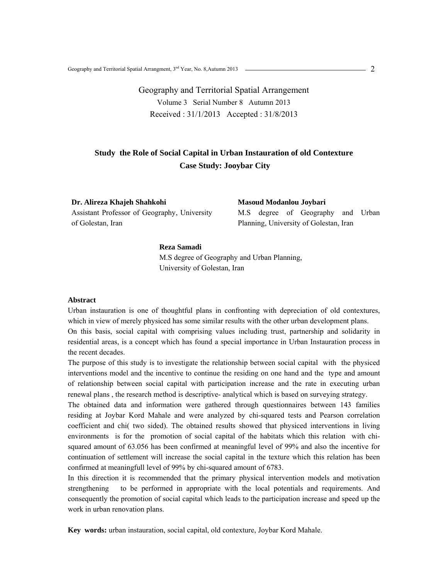# Geography and Territorial Spatial Arrangement Volume 3 Serial Number 8 Autumn 2013 Received : 31/1/2013 Accepted : 31/8/2013

# **Study the Role of Social Capital in Urban Instauration of old Contexture Case Study: Jooybar City**

**Dr. Alireza Khajeh Shahkohi** Assistant Professor of Geography, University of Golestan, Iran

**Masoud Modanlou Joybari**  M.S degree of Geography and Urban Planning, University of Golestan, Iran

#### **Reza Samadi**

M.S degree of Geography and Urban Planning, University of Golestan, Iran

### **Abstract**

Urban instauration is one of thoughtful plans in confronting with depreciation of old contextures, which in view of merely physiced has some similar results with the other urban development plans. On this basis, social capital with comprising values including trust, partnership and solidarity in residential areas, is a concept which has found a special importance in Urban Instauration process in the recent decades.

The purpose of this study is to investigate the relationship between social capital with the physiced interventions model and the incentive to continue the residing on one hand and the type and amount of relationship between social capital with participation increase and the rate in executing urban renewal plans , the research method is descriptive- analytical which is based on surveying strategy.

The obtained data and information were gathered through questionnaires between 143 families residing at Joybar Kord Mahale and were analyzed by chi-squared tests and Pearson correlation coefficient and chi( two sided). The obtained results showed that physiced interventions in living environments is for the promotion of social capital of the habitats which this relation with chisquared amount of 63.056 has been confirmed at meaningful level of 99% and also the incentive for continuation of settlement will increase the social capital in the texture which this relation has been confirmed at meaningfull level of 99% by chi-squared amount of 6783.

In this direction it is recommended that the primary physical intervention models and motivation strengthening to be performed in appropriate with the local potentials and requirements. And consequently the promotion of social capital which leads to the participation increase and speed up the work in urban renovation plans.

**Key words:** urban instauration, social capital, old contexture, Joybar Kord Mahale.

 $-2$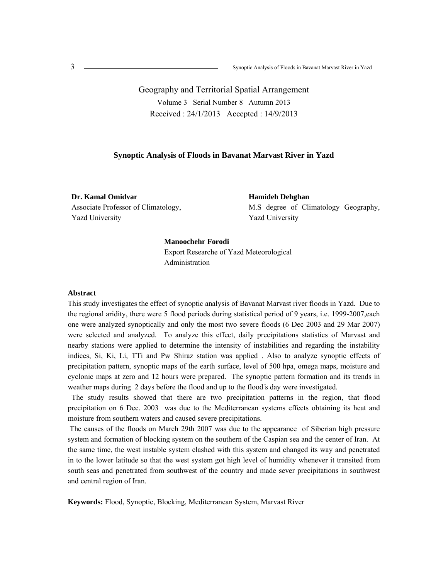Geography and Territorial Spatial Arrangement Volume 3 Serial Number 8 Autumn 2013 Received : 24/1/2013 Accepted : 14/9/2013

### **Synoptic Analysis of Floods in Bavanat Marvast River in Yazd**

**Dr. Kamal Omidvar** Associate Professor of Climatology, Yazd University

**Hamideh Dehghan**  M.S degree of Climatology Geography, Yazd University

## **Manoochehr Forodi**

Export Researche of Yazd Meteorological Administration

#### **Abstract**

This study investigates the effect of synoptic analysis of Bavanat Marvast river floods in Yazd. Due to the regional aridity, there were 5 flood periods during statistical period of 9 years, i.e. 1999-2007,each one were analyzed synoptically and only the most two severe floods (6 Dec 2003 and 29 Mar 2007) were selected and analyzed. To analyze this effect, daily precipitations statistics of Marvast and nearby stations were applied to determine the intensity of instabilities and regarding the instability indices, Si, Ki, Li, TTi and Pw Shiraz station was applied . Also to analyze synoptic effects of precipitation pattern, synoptic maps of the earth surface, level of 500 hpa, omega maps, moisture and cyclonic maps at zero and 12 hours were prepared. The synoptic pattern formation and its trends in weather maps during 2 days before the flood and up to the flood ̓s day were investigated.

 The study results showed that there are two precipitation patterns in the region, that flood precipitation on 6 Dec. 2003 was due to the Mediterranean systems effects obtaining its heat and moisture from southern waters and caused severe precipitations.

 The causes of the floods on March 29th 2007 was due to the appearance of Siberian high pressure system and formation of blocking system on the southern of the Caspian sea and the center of Iran. At the same time, the west instable system clashed with this system and changed its way and penetrated in to the lower latitude so that the west system got high level of humidity whenever it transited from south seas and penetrated from southwest of the country and made sever precipitations in southwest and central region of Iran.

**Keywords:** Flood, Synoptic, Blocking, Mediterranean System, Marvast River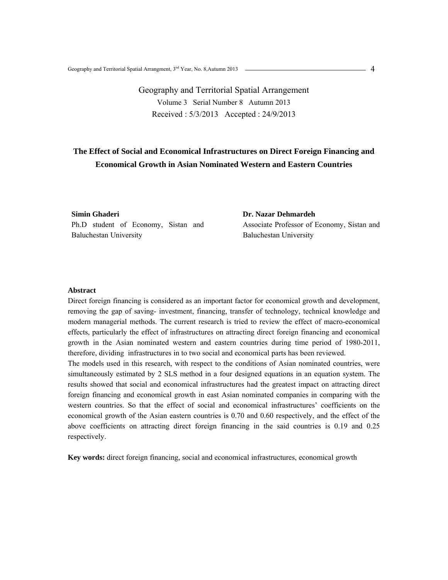Geography and Territorial Spatial Arrangement Volume 3 Serial Number 8 Autumn 2013 Received : 5/3/2013 Accepted : 24/9/2013

# **The Effect of Social and Economical Infrastructures on Direct Foreign Financing and Economical Growth in Asian Nominated Western and Eastern Countries**

**Simin Ghaderi** Ph.D student of Economy, Sistan and Baluchestan University

**Dr. Nazar Dehmardeh**  Associate Professor of Economy, Sistan and Baluchestan University

## **Abstract**

Direct foreign financing is considered as an important factor for economical growth and development, removing the gap of saving- investment, financing, transfer of technology, technical knowledge and modern managerial methods. The current research is tried to review the effect of macro-economical effects, particularly the effect of infrastructures on attracting direct foreign financing and economical growth in the Asian nominated western and eastern countries during time period of 1980-2011, therefore, dividing infrastructures in to two social and economical parts has been reviewed.

The models used in this research, with respect to the conditions of Asian nominated countries, were simultaneously estimated by 2 SLS method in a four designed equations in an equation system. The results showed that social and economical infrastructures had the greatest impact on attracting direct foreign financing and economical growth in east Asian nominated companies in comparing with the western countries. So that the effect of social and economical infrastructures' coefficients on the economical growth of the Asian eastern countries is 0.70 and 0.60 respectively, and the effect of the above coefficients on attracting direct foreign financing in the said countries is 0.19 and 0.25 respectively.

**Key words:** direct foreign financing, social and economical infrastructures, economical growth

 $-4$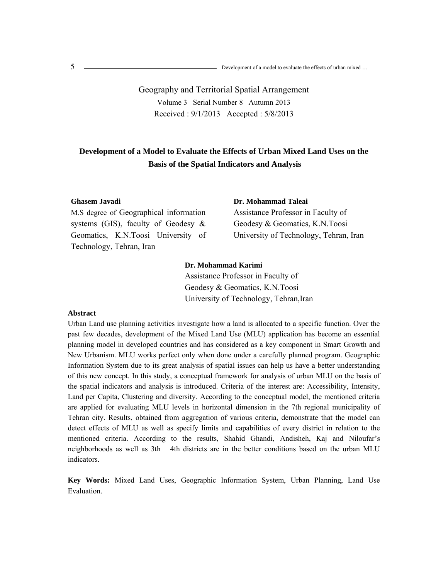.<br>נו 5

> Geography and Territorial Spatial Arrangement Volume 3 Serial Number 8 Autumn 2013 Received : 9/1/2013 Accepted : 5/8/2013

# **Development of a Model to Evaluate the Effects of Urban Mixed Land Uses on the Basis of the Spatial Indicators and Analysis**

#### **Ghasem Javadi**

M.S degree of Geographical information systems (GIS), faculty of Geodesy & Geomatics, K.N.Toosi University of Technology, Tehran, Iran

**Dr. Mohammad Taleai**  Assistance Professor in Faculty of Geodesy & Geomatics, K.N.Toosi University of Technology, Tehran, Iran

#### **Dr. Mohammad Karimi**

Assistance Professor in Faculty of Geodesy & Geomatics, K.N.Toosi University of Technology, Tehran,Iran

### **Abstract**

Urban Land use planning activities investigate how a land is allocated to a specific function. Over the past few decades, development of the Mixed Land Use (MLU) application has become an essential planning model in developed countries and has considered as a key component in Smart Growth and New Urbanism. MLU works perfect only when done under a carefully planned program. Geographic Information System due to its great analysis of spatial issues can help us have a better understanding of this new concept. In this study, a conceptual framework for analysis of urban MLU on the basis of the spatial indicators and analysis is introduced. Criteria of the interest are: Accessibility, Intensity, Land per Capita, Clustering and diversity. According to the conceptual model, the mentioned criteria are applied for evaluating MLU levels in horizontal dimension in the 7th regional municipality of Tehran city. Results, obtained from aggregation of various criteria, demonstrate that the model can detect effects of MLU as well as specify limits and capabilities of every district in relation to the mentioned criteria. According to the results, Shahid Ghandi, Andisheh, Kaj and Niloufar's neighborhoods as well as 3th 4th districts are in the better conditions based on the urban MLU indicators.

**Key Words:** Mixed Land Uses, Geographic Information System, Urban Planning, Land Use Evaluation.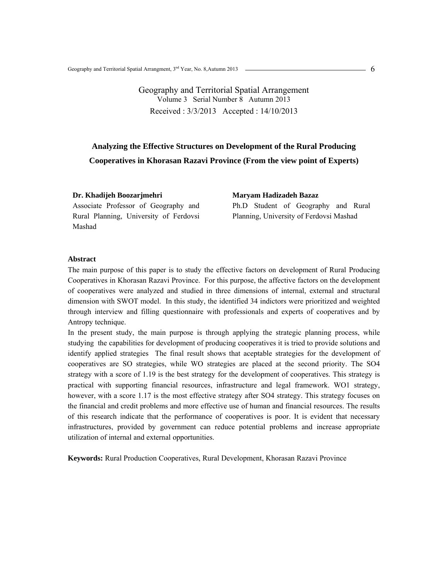# **Analyzing the Effective Structures on Development of the Rural Producing Cooperatives in Khorasan Razavi Province (From the view point of Experts)**

#### **Dr. Khadijeh Boozarjmehri**

Associate Professor of Geography and Rural Planning, University of Ferdovsi Mashad

**Maryam Hadizadeh Bazaz** Ph.D Student of Geography and Rural Planning, University of Ferdovsi Mashad

#### **Abstract**

The main purpose of this paper is to study the effective factors on development of Rural Producing Cooperatives in Khorasan Razavi Province. For this purpose, the affective factors on the development of cooperatives were analyzed and studied in three dimensions of internal, external and structural dimension with SWOT model. In this study, the identified 34 indictors were prioritized and weighted through interview and filling questionnaire with professionals and experts of cooperatives and by Antropy technique.

In the present study, the main purpose is through applying the strategic planning process, while studying the capabilities for development of producing cooperatives it is tried to provide solutions and identify applied strategies The final result shows that aceptable strategies for the development of cooperatives are SO strategies, while WO strategies are placed at the second priority. The SO4 strategy with a score of 1.19 is the best strategy for the development of cooperatives. This strategy is practical with supporting financial resources, infrastructure and legal framework. WO1 strategy, however, with a score 1.17 is the most effective strategy after SO4 strategy. This strategy focuses on the financial and credit problems and more effective use of human and financial resources. The results of this research indicate that the performance of cooperatives is poor. It is evident that necessary infrastructures, provided by government can reduce potential problems and increase appropriate utilization of internal and external opportunities.

**Keywords:** Rural Production Cooperatives, Rural Development, Khorasan Razavi Province

6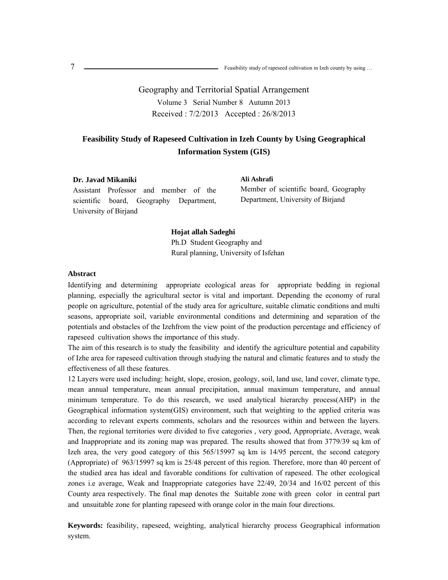Geography and Territorial Spatial Arrangement Volume 3 Serial Number 8 Autumn 2013 Received : 7/2/2013 Accepted : 26/8/2013

# **Feasibility Study of Rapeseed Cultivation in Izeh County by Using Geographical Information System (GIS)**

**Ali Ashrafi**

# **Dr. Javad Mikaniki**

Assistant Professor and member of the scientific board, Geography Department, University of Birjand

Member of scientific board, Geography Department, University of Birjand

**Hojat allah Sadeghi**  Ph.D Student Geography and Rural planning, University of Isfehan

### **Abstract**

Identifying and determining appropriate ecological areas for appropriate bedding in regional planning, especially the agricultural sector is vital and important. Depending the economy of rural people on agriculture, potential of the study area for agriculture, suitable climatic conditions and multi seasons, appropriate soil, variable environmental conditions and determining and separation of the potentials and obstacles of the Izehfrom the view point of the production percentage and efficiency of rapeseed cultivation shows the importance of this study.

The aim of this research is to study the feasibility and identify the agriculture potential and capability of Izhe area for rapeseed cultivation through studying the natural and climatic features and to study the effectiveness of all these features.

12 Layers were used including: height, slope, erosion, geology, soil, land use, land cover, climate type, mean annual temperature, mean annual precipitation, annual maximum temperature, and annual minimum temperature. To do this research, we used analytical hierarchy process(AHP) in the Geographical information system(GIS) environment, such that weighting to the applied criteria was according to relevant experts comments, scholars and the resources within and between the layers. Then, the regional territories were divided to five categories , very good, Appropriate, Average, weak and Inappropriate and its zoning map was prepared. The results showed that from 3779/39 sq km of Izeh area, the very good category of this 565/15997 sq km is 14/95 percent, the second category (Appropriate) of 963/15997 sq km is 25/48 percent of this region. Therefore, more than 40 percent of the studied area has ideal and favorable conditions for cultivation of rapeseed. The other ecological zones i.e average, Weak and Inappropriate categories have 22/49, 20/34 and 16/02 percent of this County area respectively. The final map denotes the Suitable zone with green color in central part and unsuitable zone for planting rapeseed with orange color in the main four directions.

**Keywords:** feasibility, rapeseed, weighting, analytical hierarchy process Geographical information system.